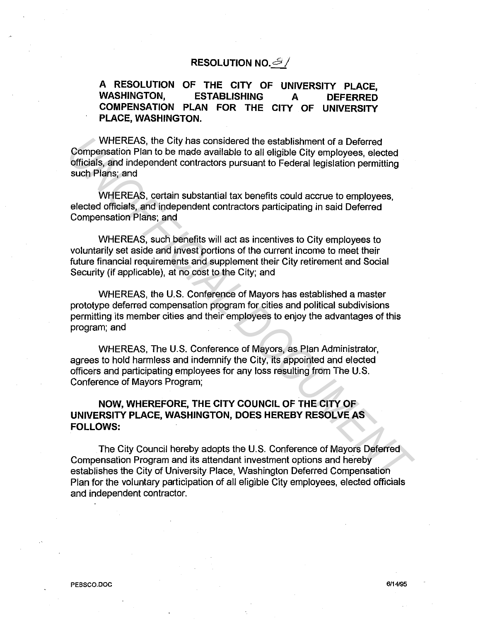## **RESOLUTION NO.** *b* /

## **A RESOLUTION OF THE CITY OF UNIVERSITY PLACE, WASHINGTON, ESTABLISHING A DEFERRED COMPENSATION PLAN FOR THE CITY OF UNIVERSITY PLACE, WASHINGTON.**

WHEREAS, the City has considered the establishment of a Deferred Compensation Plan to be made available to all eligible City employees, elected officials, and independent contractors pursuant to Federal legislation permitting such Plans; and

WHEREAS, certain substantial tax benefits could accrue to employees, elected officials, and independent contractors participating in said Deferred Compensation Plans; and

WHEREAS, such benefits will act as incentives to City employees to voluntarily set aside and invest portions of the current income to meet their future financial requirements and supplement their City retirement and Social Security (if applicable), at no cost to the City; and

WHEREAS, the U.S. Conference of Mayors has established a master prototype deferred compensation program for cities and political subdivisions permitting its member cities and their employees to enjoy the advantages of this program; and WHEREAS, the City has considered the establishment of a Deferred<br>Compensation Plan to be made a wailable to all eligible city employees, elected officials, and independent contractors pursuant to Federal legislation permit

WHEREAS, The U.S. Conference of Mayors, as Plan Administrator, agrees to hold harmless and indemnify the City, its appointed and elected officers and participating employees for any loss resulting from The U.S. Conference of Mayors Program;

## **NOW, WHEREFORE, THE CITY COUNCIL OF THE CITY OF UNIVERSITY PLACE, WASHINGTON, DOES HEREBY RESOLVE AS FOLLOWS:**

The City Council hereby adopts the U.S. Conference of Mayors Deferred Compensation Program and its attendant investment options and hereby establishes the City of University Place, Washington Deferred Compensation Plan for the voluntary participation of all eligible City employees, elected officials and independent contractor.